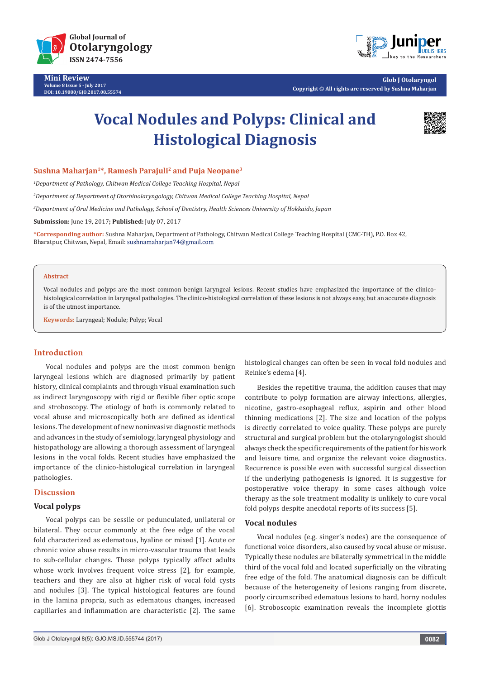

**Mini Review Volume 8 Issue 5 - July 2017 DOI: [10.19080/GJO.2017.08.55574](http://dx.doi.org/10.19080/GJO.2017.08.555744
)**



**Glob J Otolaryngol Copyright © All rights are reserved by Sushna Maharjan**

# **Vocal Nodules and Polyps: Clinical and Histological Diagnosis**



## **Sushna Maharjan1\*, Ramesh Parajuli2 and Puja Neopane3**

*1 Department of Pathology, Chitwan Medical College Teaching Hospital, Nepal*

*2 Department of Department of Otorhinolaryngology, Chitwan Medical College Teaching Hospital, Nepal*

*3 Department of Oral Medicine and Pathology, School of Dentistry, Health Sciences University of Hokkaido, Japan*

**Submission:** June 19, 2017**; Published:** July 07, 2017

**\*Corresponding author:** Sushna Maharjan, Department of Pathology, Chitwan Medical College Teaching Hospital (CMC-TH), P.O. Box 42, Bharatpur, Chitwan, Nepal, Email: sushnamaharjan74@gmail.com

#### **Abstract**

Vocal nodules and polyps are the most common benign laryngeal lesions. Recent studies have emphasized the importance of the clinicohistological correlation in laryngeal pathologies. The clinico-histological correlation of these lesions is not always easy, but an accurate diagnosis is of the utmost importance.

**Keywords:** Laryngeal; Nodule; Polyp; Vocal

## **Introduction**

Vocal nodules and polyps are the most common benign laryngeal lesions which are diagnosed primarily by patient history, clinical complaints and through visual examination such as indirect laryngoscopy with rigid or flexible fiber optic scope and stroboscopy. The etiology of both is commonly related to vocal abuse and microscopically both are defined as identical lesions. The development of new noninvasive diagnostic methods and advances in the study of semiology, laryngeal physiology and histopathology are allowing a thorough assessment of laryngeal lesions in the vocal folds. Recent studies have emphasized the importance of the clinico-histological correlation in laryngeal pathologies.

#### **Discussion**

## **Vocal polyps**

Vocal polyps can be sessile or pedunculated, unilateral or bilateral. They occur commonly at the free edge of the vocal fold characterized as edematous, hyaline or mixed [1]. Acute or chronic voice abuse results in micro-vascular trauma that leads to sub-cellular changes. These polyps typically affect adults whose work involves frequent voice stress [2], for example, teachers and they are also at higher risk of vocal fold cysts and nodules [3]. The typical histological features are found in the lamina propria, such as edematous changes, increased capillaries and inflammation are characteristic [2]. The same

Glob J Otolaryngol 8(5): GJO.MS.ID.555744 (2017) **0082**

histological changes can often be seen in vocal fold nodules and Reinke's edema [4].

Besides the repetitive trauma, the addition causes that may contribute to polyp formation are airway infections, allergies, nicotine, gastro-esophageal reflux, aspirin and other blood thinning medications [2]. The size and location of the polyps is directly correlated to voice quality. These polyps are purely structural and surgical problem but the otolaryngologist should always check the specific requirements of the patient for his work and leisure time, and organize the relevant voice diagnostics. Recurrence is possible even with successful surgical dissection if the underlying pathogenesis is ignored. It is suggestive for postoperative voice therapy in some cases although voice therapy as the sole treatment modality is unlikely to cure vocal fold polyps despite anecdotal reports of its success [5].

## **Vocal nodules**

Vocal nodules (e.g. singer's nodes) are the consequence of functional voice disorders, also caused by vocal abuse or misuse. Typically these nodules are bilaterally symmetrical in the middle third of the vocal fold and located superficially on the vibrating free edge of the fold. The anatomical diagnosis can be difficult because of the heterogeneity of lesions ranging from discrete, poorly circumscribed edematous lesions to hard, horny nodules [6]. Stroboscopic examination reveals the incomplete glottis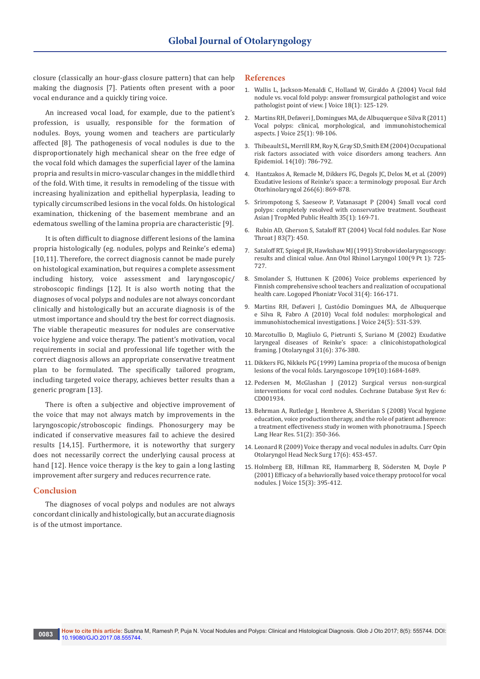closure (classically an hour-glass closure pattern) that can help making the diagnosis [7]. Patients often present with a poor vocal endurance and a quickly tiring voice.

An increased vocal load, for example, due to the patient's profession, is usually, responsible for the formation of nodules. Boys, young women and teachers are particularly affected [8]. The pathogenesis of vocal nodules is due to the disproportionately high mechanical shear on the free edge of the vocal fold which damages the superficial layer of the lamina propria and results in micro-vascular changes in the middle third of the fold. With time, it results in remodeling of the tissue with increasing hyalinization and epithelial hyperplasia, leading to typically circumscribed lesions in the vocal folds. On histological examination, thickening of the basement membrane and an edematous swelling of the lamina propria are characteristic [9].

It is often difficult to diagnose different lesions of the lamina propria histologically (eg. nodules, polyps and Reinke's edema) [10,11]. Therefore, the correct diagnosis cannot be made purely on histological examination, but requires a complete assessment including history, voice assessment and laryngoscopic/ stroboscopic findings [12]. It is also worth noting that the diagnoses of vocal polyps and nodules are not always concordant clinically and histologically but an accurate diagnosis is of the utmost importance and should try the best for correct diagnosis. The viable therapeutic measures for nodules are conservative voice hygiene and voice therapy. The patient's motivation, vocal requirements in social and professional life together with the correct diagnosis allows an appropriate conservative treatment plan to be formulated. The specifically tailored program, including targeted voice therapy, achieves better results than a generic program [13].

There is often a subjective and objective improvement of the voice that may not always match by improvements in the laryngoscopic/stroboscopic findings. Phonosurgery may be indicated if conservative measures fail to achieve the desired results [14,15]. Furthermore, it is noteworthy that surgery does not necessarily correct the underlying causal process at hand [12]. Hence voice therapy is the key to gain a long lasting improvement after surgery and reduces recurrence rate.

### **Conclusion**

The diagnoses of vocal polyps and nodules are not always concordant clinically and histologically, but an accurate diagnosis is of the utmost importance.

#### **References**

- 1. [Wallis L, Jackson-Menaldi C, Holland W, Giraldo A \(2004\) Vocal fold](https://www.ncbi.nlm.nih.gov/pubmed/15070232)  [nodule vs. vocal fold polyp: answer fromsurgical pathologist and voice](https://www.ncbi.nlm.nih.gov/pubmed/15070232)  [pathologist point of view. J Voice 18\(1\): 125-129.](https://www.ncbi.nlm.nih.gov/pubmed/15070232)
- 2. [Martins RH, Defaveri J, Domingues MA, de Albuquerque e Silva R \(2011\)](https://www.ncbi.nlm.nih.gov/pubmed/20097524)  [Vocal polyps: clinical, morphological, and immunohistochemical](https://www.ncbi.nlm.nih.gov/pubmed/20097524)  [aspects. J Voice 25\(1\): 98-106.](https://www.ncbi.nlm.nih.gov/pubmed/20097524)
- 3. [Thibeault SL, Merrill RM, Roy N, Gray SD, Smith EM \(2004\) Occupational](https://www.ncbi.nlm.nih.gov/pubmed/15519901)  [risk factors associated with voice disorders among teachers. Ann](https://www.ncbi.nlm.nih.gov/pubmed/15519901)  [Epidemiol. 14\(10\): 786-792.](https://www.ncbi.nlm.nih.gov/pubmed/15519901)
- 4. [Hantzakos A, Remacle M, Dikkers FG, Degols JC, Delos M, et al. \(2009\)](https://www.ncbi.nlm.nih.gov/pubmed/19023584)  [Exudative lesions of Reinke's space: a terminology proposal. Eur Arch](https://www.ncbi.nlm.nih.gov/pubmed/19023584)  [Otorhinolaryngol 266\(6\): 869-878.](https://www.ncbi.nlm.nih.gov/pubmed/19023584)
- 5. [Srirompotong S, Saeseow P, Vatanasapt P \(2004\) Small vocal cord](https://www.ncbi.nlm.nih.gov/pubmed/15272764)  [polyps: completely resolved with conservative treatment. Southeast](https://www.ncbi.nlm.nih.gov/pubmed/15272764)  [Asian J TropMed Public Health 35\(1\): 169-71.](https://www.ncbi.nlm.nih.gov/pubmed/15272764)
- 6. [Rubin AD, Gherson S, Sataloff RT \(2004\) Vocal fold nodules. Ear Nose](https://www.ncbi.nlm.nih.gov/pubmed/15372909)  Throat *J* 83(7): 450.
- 7. [Sataloff RT, Spiegel JR, Hawkshaw MJ \(1991\) Strobovideolaryngoscopy:](https://www.ncbi.nlm.nih.gov/pubmed/1952664)  [results and clinical value. Ann Otol Rhinol Laryngol 100\(9 Pt 1\): 725-](https://www.ncbi.nlm.nih.gov/pubmed/1952664) [727.](https://www.ncbi.nlm.nih.gov/pubmed/1952664)
- 8. [Smolander S, Huttunen K \(2006\) Voice problems experienced by](https://www.ncbi.nlm.nih.gov/pubmed/17114129)  [Finnish comprehensive school teachers and realization of occupational](https://www.ncbi.nlm.nih.gov/pubmed/17114129)  [health care. Logoped Phoniatr Vocol 31\(4\): 166-171.](https://www.ncbi.nlm.nih.gov/pubmed/17114129)
- 9. [Martins RH, Defaveri J, Custódio Domingues MA, de Albuquerque](https://www.ncbi.nlm.nih.gov/pubmed/19853410)  [e Silva R, Fabro A \(2010\) Vocal fold nodules: morphological and](https://www.ncbi.nlm.nih.gov/pubmed/19853410)  [immunohistochemical investigations. J Voice 24\(5\): 531-539.](https://www.ncbi.nlm.nih.gov/pubmed/19853410)
- 10. [Marcotullio D, Magliulo G, Pietrunti S, Suriano M \(2002\) Exudative](https://www.ncbi.nlm.nih.gov/pubmed/12593551)  [laryngeal diseases of Reinke's space: a clinicohistopathological](https://www.ncbi.nlm.nih.gov/pubmed/12593551)  [framing. J Otolaryngol 31\(6\): 376-380.](https://www.ncbi.nlm.nih.gov/pubmed/12593551)
- 11. [Dikkers FG, Nikkels PG \(1999\) Lamina propria of the mucosa of benign](https://www.ncbi.nlm.nih.gov/pubmed/10522943)  [lesions of the vocal folds. Laryngoscope 109\(10\):1684-1689.](https://www.ncbi.nlm.nih.gov/pubmed/10522943)
- 12. [Pedersen M, McGlashan J \(2012\) Surgical versus non-surgical](https://www.ncbi.nlm.nih.gov/pubmed/22696326)  [interventions for vocal cord nodules. Cochrane Database Syst Rev 6:](https://www.ncbi.nlm.nih.gov/pubmed/22696326)  [CD001934.](https://www.ncbi.nlm.nih.gov/pubmed/22696326)
- 13. [Behrman A, Rutledge J, Hembree A, Sheridan S \(2008\) Vocal hygiene](https://www.ncbi.nlm.nih.gov/pubmed/18367682)  [education, voice production therapy, and the role of patient adherence:](https://www.ncbi.nlm.nih.gov/pubmed/18367682)  [a treatment effectiveness study in women with phonotrauma. J Speech](https://www.ncbi.nlm.nih.gov/pubmed/18367682)  [Lang Hear Res. 51\(2\): 350-366.](https://www.ncbi.nlm.nih.gov/pubmed/18367682)
- 14. [Leonard R \(2009\) Voice therapy and vocal nodules in adults. Curr Opin](https://www.ncbi.nlm.nih.gov/pubmed/19741535)  [Otolaryngol Head Neck Surg 17\(6\): 453-457.](https://www.ncbi.nlm.nih.gov/pubmed/19741535)
- 15. [Holmberg EB, Hillman RE, Hammarberg B, Södersten M, Doyle P](https://www.ncbi.nlm.nih.gov/pubmed/11575636)  [\(2001\) Efficacy of a behaviorally based voice therapy protocol for vocal](https://www.ncbi.nlm.nih.gov/pubmed/11575636)  [nodules. J Voice 15\(3\): 395-412.](https://www.ncbi.nlm.nih.gov/pubmed/11575636)